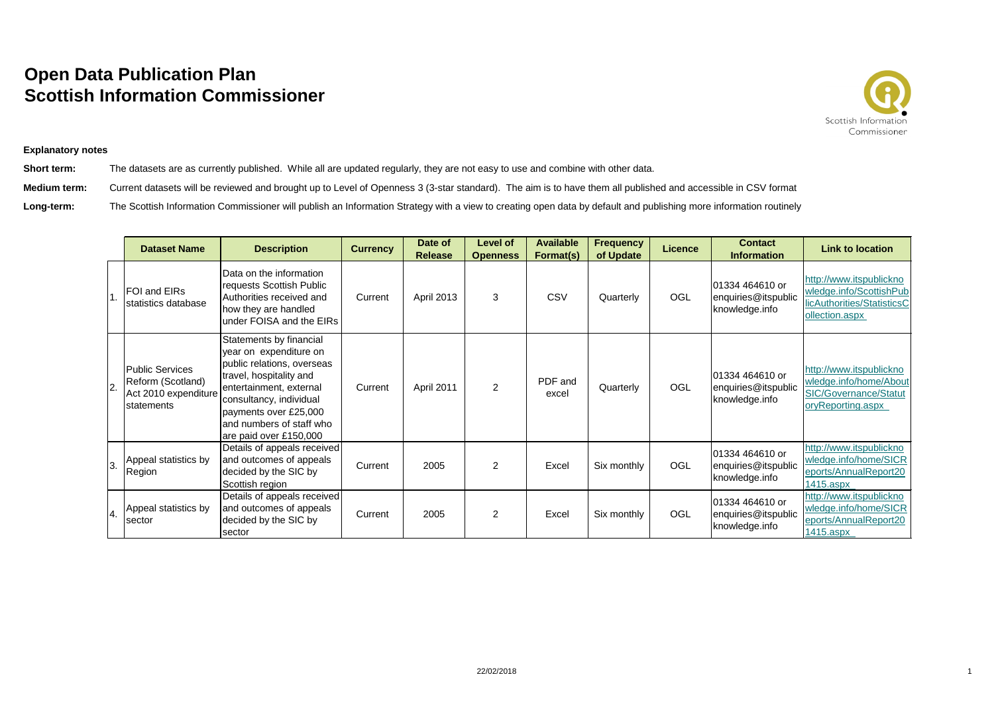## **Open Data Publication Plan Scottish Information Commissioner**



## **Explanatory notes**

**Short term:** The datasets are as currently published. While all are updated regularly, they are not easy to use and combine with other data. **Medium term:** Current datasets will be reviewed and brought up to Level of Openness 3 (3-star standard). The aim is to have them all published and accessible in CSV format Long-term: The Scottish Information Commissioner will publish an Information Strategy with a view to creating open data by default and publishing more information routinely

|     | <b>Dataset Name</b>                                                               | <b>Description</b>                                                                                                                                                                                                                              | <b>Currency</b> | Date of<br><b>Release</b> | <b>Level of</b><br><b>Openness</b> | <b>Available</b><br>Format(s) | <b>Frequency</b><br>of Update | <b>Licence</b> | <b>Contact</b><br><b>Information</b>                     | <b>Link to location</b>                                                                                |
|-----|-----------------------------------------------------------------------------------|-------------------------------------------------------------------------------------------------------------------------------------------------------------------------------------------------------------------------------------------------|-----------------|---------------------------|------------------------------------|-------------------------------|-------------------------------|----------------|----------------------------------------------------------|--------------------------------------------------------------------------------------------------------|
|     | FOI and EIRs<br>Istatistics database                                              | Data on the information<br>requests Scottish Public<br>Authorities received and<br>how they are handled<br>under FOISA and the EIRs                                                                                                             | Current         | <b>April 2013</b>         | 3                                  | CSV                           | Quarterly                     | OGL            | 01334 464610 or<br>enquiries@itspublic<br>knowledge.info | http://www.itspublickno<br>wledge.info/ScottishPub<br>licAuthorities/StatisticsC<br>ollection.aspx     |
| 2.  | <b>Public Services</b><br>Reform (Scotland)<br>Act 2010 expenditure<br>statements | Statements by financial<br>year on expenditure on<br>public relations, overseas<br>travel, hospitality and<br>entertainment, external<br>consultancy, individual<br>payments over £25,000<br>and numbers of staff who<br>are paid over £150,000 | Current         | April 2011                | 2                                  | PDF and<br>excel              | Quarterly                     | OGL            | 01334 464610 or<br>enquiries@itspublic<br>knowledge.info | http://www.itspublickno<br>wledge.info/home/About<br><b>SIC/Governance/Statut</b><br>oryReporting.aspx |
| 3.  | Appeal statistics by<br>Region                                                    | Details of appeals received<br>and outcomes of appeals<br>decided by the SIC by<br>Scottish region                                                                                                                                              | Current         | 2005                      | 2                                  | Excel                         | Six monthly                   | OGL            | 01334 464610 or<br>enquiries@itspublic<br>knowledge.info | http://www.itspublickno<br>wledge.info/home/SICR<br>eports/AnnualReport20<br>1415.aspx                 |
| 14. | Appeal statistics by<br>sector                                                    | Details of appeals received<br>and outcomes of appeals<br>decided by the SIC by<br>sector                                                                                                                                                       | Current         | 2005                      | 2                                  | Excel                         | Six monthly                   | OGL            | 01334 464610 or<br>enquiries@itspublic<br>knowledge.info | http://www.itspublickno<br>wledge.info/home/SICR<br>eports/AnnualReport20<br>1415.aspx                 |